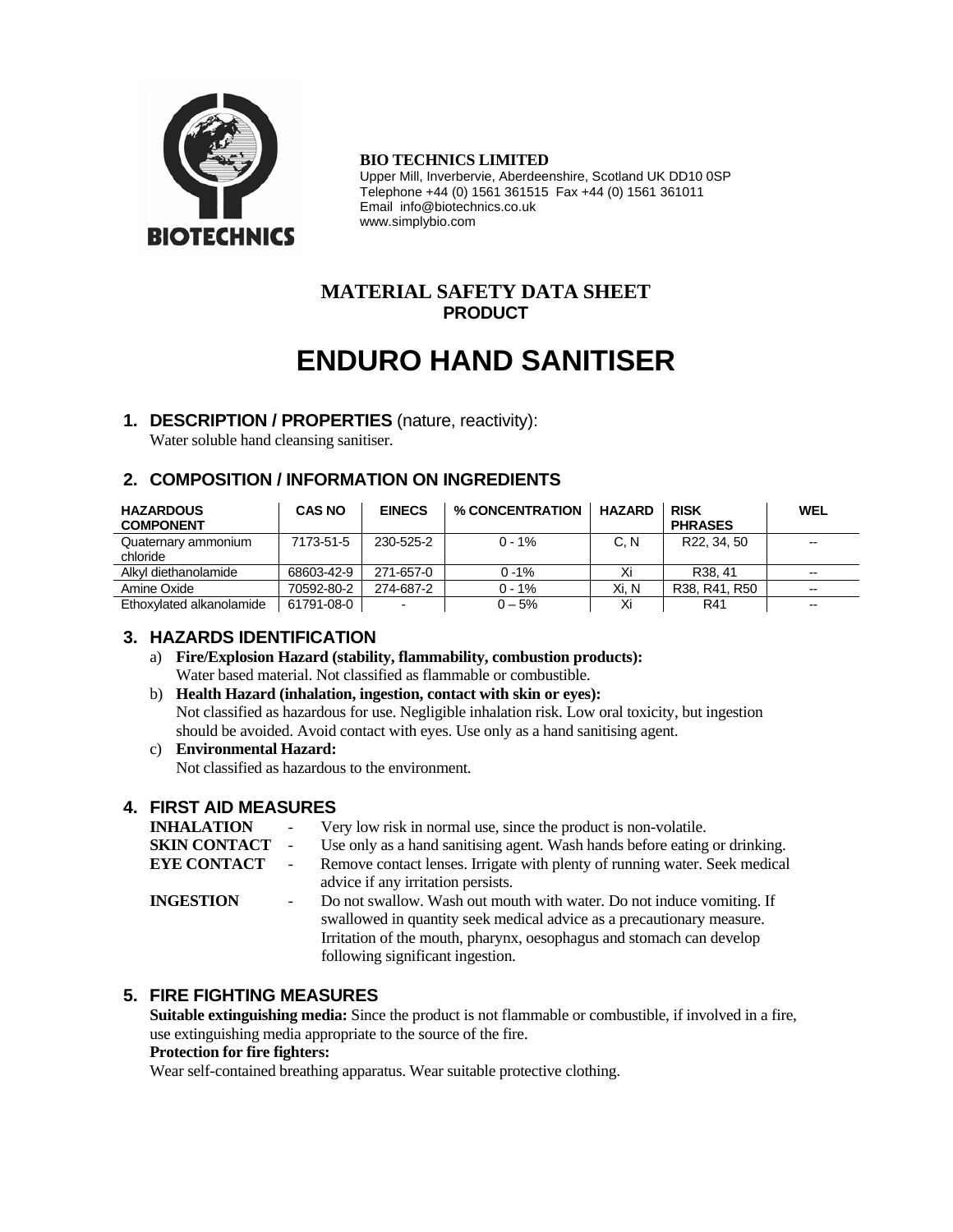

#### **BIO TECHNICS LIMITED**

Upper Mill, Inverbervie, Aberdeenshire, Scotland UK DD10 0SP Telephone +44 (0) 1561 361515 Fax +44 (0) 1561 361011 Email info@biotechnics.co.uk www.simplybio.com

# **MATERIAL SAFETY DATA SHEET PRODUCT**

# **ENDURO HAND SANITISER**

# **1. DESCRIPTION / PROPERTIES** (nature, reactivity):

Water soluble hand cleansing sanitiser.

# **2. COMPOSITION / INFORMATION ON INGREDIENTS**

| <b>HAZARDOUS</b><br><b>COMPONENT</b> | <b>CAS NO</b> | <b>EINECS</b> | % CONCENTRATION | <b>HAZARD</b> | <b>RISK</b><br><b>PHRASES</b> | <b>WEL</b>               |
|--------------------------------------|---------------|---------------|-----------------|---------------|-------------------------------|--------------------------|
| Quaternary ammonium<br>chloride      | 7173-51-5     | 230-525-2     | $0 - 1\%$       | C. N          | R22, 34, 50                   | $\overline{\phantom{a}}$ |
| Alkyl diethanolamide                 | 68603-42-9    | 271-657-0     | $0 - 1%$        | Xi            | R <sub>38</sub> .41           | $\overline{\phantom{a}}$ |
| Amine Oxide                          | 70592-80-2    | 274-687-2     | $0 - 1%$        | Xi. N         | R38, R41, R50                 | $\overline{\phantom{a}}$ |
| Ethoxylated alkanolamide             | 61791-08-0    |               | $0 - 5%$        |               | R41                           | $\overline{\phantom{a}}$ |

# **3. HAZARDS IDENTIFICATION**

- a) **Fire/Explosion Hazard (stability, flammability, combustion products):** Water based material. Not classified as flammable or combustible.
- b) **Health Hazard (inhalation, ingestion, contact with skin or eyes):** Not classified as hazardous for use. Negligible inhalation risk. Low oral toxicity, but ingestion should be avoided. Avoid contact with eyes. Use only as a hand sanitising agent.
- c) **Environmental Hazard:**

Not classified as hazardous to the environment.

# **4. FIRST AID MEASURES**

| <b>INHALATION</b>   |                          | Very low risk in normal use, since the product is non-volatile.            |
|---------------------|--------------------------|----------------------------------------------------------------------------|
| <b>SKIN CONTACT</b> | $\overline{\phantom{a}}$ | Use only as a hand sanitising agent. Wash hands before eating or drinking. |
| <b>EYE CONTACT</b>  | $\overline{\phantom{a}}$ | Remove contact lenses. Irrigate with plenty of running water. Seek medical |
|                     |                          | advice if any irritation persists.                                         |
| <b>INGESTION</b>    |                          | Do not swallow. Wash out mouth with water. Do not induce vomiting. If      |
|                     |                          | swallowed in quantity seek medical advice as a precautionary measure.      |
|                     |                          | Irritation of the mouth, pharynx, oesophagus and stomach can develop       |
|                     |                          | following significant ingestion.                                           |
|                     |                          |                                                                            |

# **5. FIRE FIGHTING MEASURES**

**Suitable extinguishing media:** Since the product is not flammable or combustible, if involved in a fire, use extinguishing media appropriate to the source of the fire.

### **Protection for fire fighters:**

Wear self-contained breathing apparatus. Wear suitable protective clothing.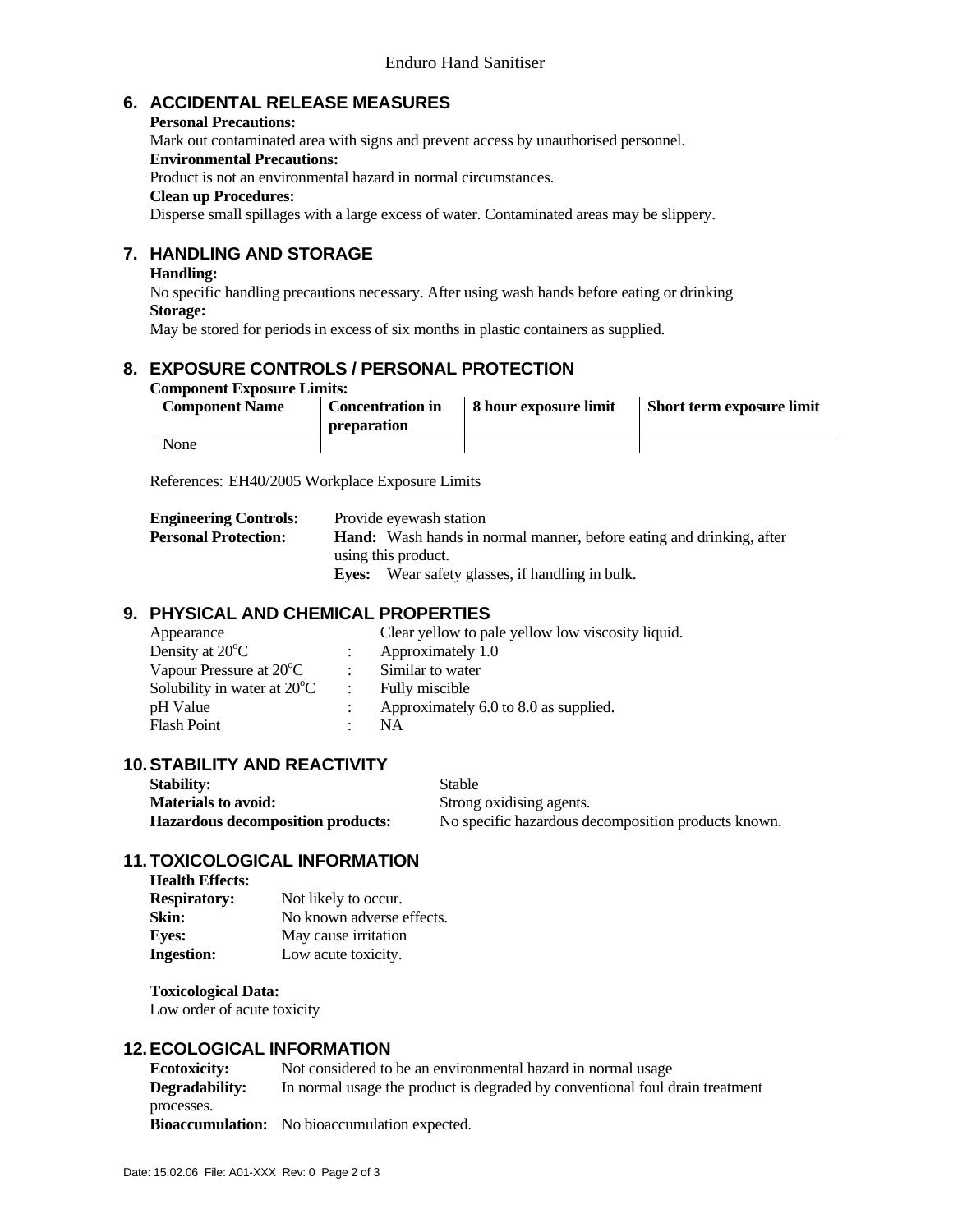# **6. ACCIDENTAL RELEASE MEASURES**

**Personal Precautions:** 

Mark out contaminated area with signs and prevent access by unauthorised personnel.

# **Environmental Precautions:**

Product is not an environmental hazard in normal circumstances.

# **Clean up Procedures:**

Disperse small spillages with a large excess of water. Contaminated areas may be slippery.

# **7. HANDLING AND STORAGE**

### **Handling:**

 No specific handling precautions necessary. After using wash hands before eating or drinking **Storage:** 

May be stored for periods in excess of six months in plastic containers as supplied.

# **8. EXPOSURE CONTROLS / PERSONAL PROTECTION**

#### **Component Exposure Limits:**

| <b>Component Name</b> | <b>Concentration in</b><br><b>preparation</b> | 8 hour exposure limit | Short term exposure limit |
|-----------------------|-----------------------------------------------|-----------------------|---------------------------|
| None                  |                                               |                       |                           |

References: EH40/2005 Workplace Exposure Limits

| <b>Engineering Controls:</b> | Provide eyewash station                                                     |
|------------------------------|-----------------------------------------------------------------------------|
| <b>Personal Protection:</b>  | <b>Hand:</b> Wash hands in normal manner, before eating and drinking, after |
|                              | using this product.                                                         |
|                              | <b>Eves:</b> Wear safety glasses, if handling in bulk.                      |

# **9. PHYSICAL AND CHEMICAL PROPERTIES**

| Appearance                            | Clear yellow to pale yellow low viscosity liquid. |
|---------------------------------------|---------------------------------------------------|
| Density at 20 <sup>°</sup> C          | Approximately 1.0                                 |
| Vapour Pressure at 20 <sup>o</sup> C  | Similar to water                                  |
| Solubility in water at $20^{\circ}$ C | Fully miscible                                    |
| pH Value                              | Approximately 6.0 to 8.0 as supplied.             |
| <b>Flash Point</b>                    | <b>NA</b>                                         |
|                                       |                                                   |

# **10. STABILITY AND REACTIVITY**

| <b>Stability:</b>                        | Stable                                              |
|------------------------------------------|-----------------------------------------------------|
| <b>Materials to avoid:</b>               | Strong oxidising agents.                            |
| <b>Hazardous decomposition products:</b> | No specific hazardous decomposition products known. |

# **11. TOXICOLOGICAL INFORMATION**

| <b>Health Effects:</b> |                           |
|------------------------|---------------------------|
| <b>Respiratory:</b>    | Not likely to occur.      |
| Skin:                  | No known adverse effects. |
| <b>Eyes:</b>           | May cause irritation      |
| <b>Ingestion:</b>      | Low acute toxicity.       |

 **Toxicological Data:** 

Low order of acute toxicity

# **12. ECOLOGICAL INFORMATION**

| <b>Ecotoxicity:</b> | Not considered to be an environmental hazard in normal usage                 |
|---------------------|------------------------------------------------------------------------------|
| Degradability:      | In normal usage the product is degraded by conventional foul drain treatment |
| processes.          |                                                                              |
|                     | <b>Bioaccumulation:</b> No bioaccumulation expected.                         |